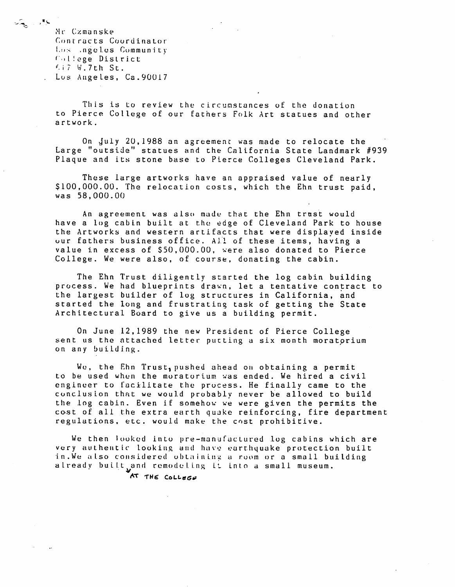Mr Czmanske Contracts Coordinator Los .ngeles Community  $C_1$  l lege District  $f_i$ ;  $V$ ,  $V$ ,  $V$ ,  $V$ ,  $V$ ,  $V$ Los Angeles, Ca. 90017

 $\sqrt{2}$  ,  $\sqrt{2}$ 

This is to review the circumstances of the donation to Pierce College of our fathers Folk Art statues and other artwork.

On July 20, 1988 an agreement was made to relocate the Large "outside" statues and the California State Landmark #939 Plaque and its stone base to Pierce Colleges Cleveland Park.

These large artworks have an appraised value of nearly \$100,000.00. The relocation costs, which the Ehn trust paid,  $was$  58,000.00

An agreement was also made that the Ehn trust would have a log cabin built at the edge of Cleveland Park to house the Artworks and western artifacts that were displaved inside our fathers business office. All of these items, having a value in excess of \$50,000.00, were also donated to Pierce College. We were also, of course, donating the cabin.

The Ehn Trust diligently started the log cabin building process. We had blueprints drawn, let a tentative contract to the largest builder of log structures in California, and started the long and frustrating task of getting the State Architectural Board to give us a building permit.

On June 12, 1989 the new President of Pierce College sent us the attached letter putting a six month moratorium on any building.

We, the Ehn Trust, pushed ahead on obtaining a permit to be used when the moratorium was ended. We hired a civil engineer to facilitate the process. He finally came to the conclusion that we would probably never be allowed to build the log cabin. Even if somehow we were given the permits the cost of all the extra earth quake reinforcing, fire department regulations, etc. would make the cost prohibitive.

We then looked into pre-manufactured log cabins which are very authentic looking and have earthquake protection built in. We also considered obtaining a room or a small building a l ready built and remodeling it into a small museum.

AT THE College